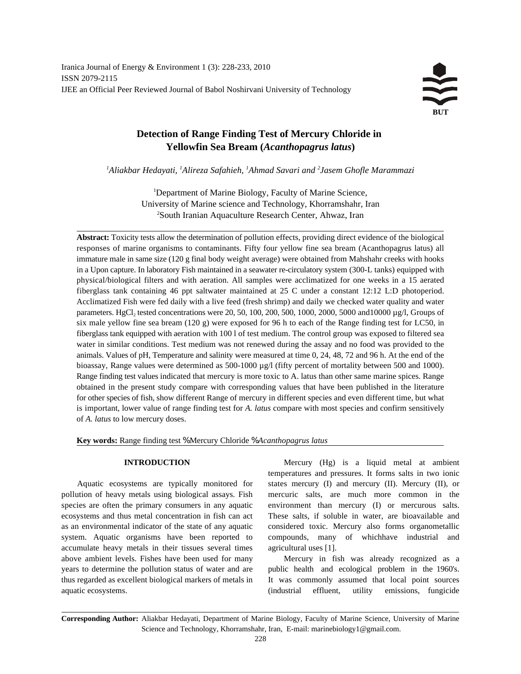# **Detection of Range Finding Test of Mercury Chloride in Yellowfin Sea Bream (***Acanthopagrus latus***)**

*Aliakbar Hedayati, Alireza Safahieh, Ahmad Savari and Jasem Ghofle Marammazi <sup>1</sup> <sup>1</sup> <sup>1</sup> <sup>2</sup>*

<sup>1</sup>Department of Marine Biology, Faculty of Marine Science, University of Marine science and Technology, Khorramshahr, Iran <sup>2</sup>South Iranian Aquaculture Research Center, Ahwaz, Iran

**Abstract:** Toxicity tests allow the determination of pollution effects, providing direct evidence of the biological responses of marine organisms to contaminants. Fifty four yellow fine sea bream (Acanthopagrus latus) all immature male in same size (120 g final body weight average) were obtained from Mahshahr creeks with hooks in a Upon capture. In laboratory Fish maintained in a seawater re-circulatory system (300-L tanks) equipped with physical/biological filters and with aeration. All samples were acclimatized for one weeks in a 15 aerated fiberglass tank containing 46 ppt saltwater maintained at 25 C under a constant 12:12 L:D photoperiod. Acclimatized Fish were fed daily with a live feed (fresh shrimp) and daily we checked water quality and water parameters. HgCl, tested concentrations were 20, 50, 100, 200, 500, 1000, 2000, 5000 and 10000  $\mu$ g/l, Groups of six male yellow fine sea bream (120 g) were exposed for 96 h to each of the Range finding test for LC50, in fiberglass tank equipped with aeration with 100 l of test medium. The control group was exposed to filtered sea water in similar conditions. Test medium was not renewed during the assay and no food was provided to the animals. Values of pH, Temperature and salinity were measured at time 0, 24, 48, 72 and 96 h. At the end of the bioassay, Range values were determined as 500-1000 µg/l (fifty percent of mortality between 500 and 1000). Range finding test values indicated that mercury is more toxic to A. latus than other same marine spices. Range obtained in the present study compare with corresponding values that have been published in the literature for other species of fish, show different Range of mercury in different species and even different time, but what is important, lower value of range finding test for *A. latus* compare with most species and confirm sensitively of *A. latus* to low mercury doses.

**Key words:** Range finding test % Mercury Chloride % *Acanthopagrus latus*

pollution of heavy metals using biological assays. Fish mercuric salts, are much more common in the species are often the primary consumers in any aquatic environment than mercury (I) or mercurous salts. ecosystems and thus metal concentration in fish can act These salts, if soluble in water, are bioavailable and as an environmental indicator of the state of any aquatic considered toxic. Mercury also forms organometallic system. Aquatic organisms have been reported to compounds, many of whichhave industrial and accumulate heavy metals in their tissues several times agricultural uses [1]. above ambient levels. Fishes have been used for many Mercury in fish was already recognized as a years to determine the pollution status of water and are public health and ecological problem in the 1960's. thus regarded as excellent biological markers of metals in It was commonly assumed that local point sources aquatic ecosystems. (industrial effluent, utility emissions, fungicide

**INTRODUCTION** Mercury (Hg) is a liquid metal at ambient Aquatic ecosystems are typically monitored for states mercury (I) and mercury (II). Mercury (II), or temperatures and pressures. It forms salts in two ionic

**Corresponding Author:** Aliakbar Hedayati, Department of Marine Biology, Faculty of Marine Science, University of Marine Science and Technology, Khorramshahr, Iran, E-mail: marinebiology1@gmail.com.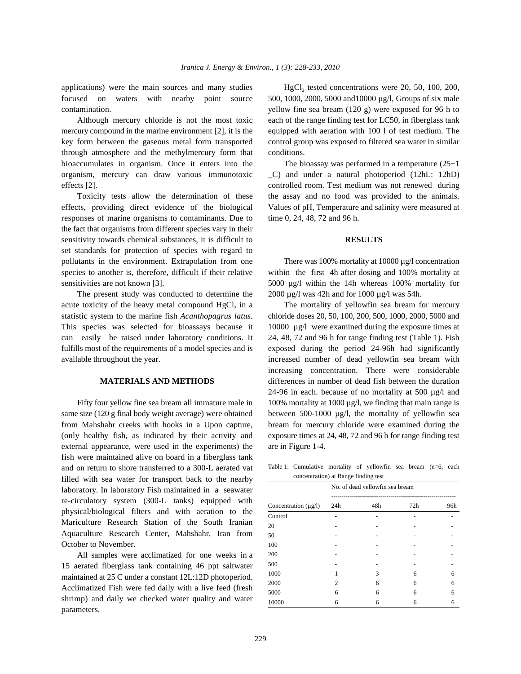applications) were the main sources and many studies

mercury compound in the marine environment [2], it is the equipped with aeration with 100 l of test medium. The key form between the gaseous metal form transported control group was exposed to filtered sea water in similar through atmosphere and the methylmercury form that conditions. bioaccumulates in organism. Once it enters into the The bioassay was performed in a temperature  $(25\pm 1)$ organism, mercury can draw various immunotoxic \_C) and under a natural photoperiod (12hL: 12hD) effects [2]. controlled room. Test medium was not renewed during

effects, providing direct evidence of the biological Values of pH, Temperature and salinity were measured at responses of marine organisms to contaminants. Due to time  $0, 24, 48, 72, 48, 72$  and 96 h. the fact that organisms from different species vary in their sensitivity towards chemical substances, it is difficult to **RESULTS** set standards for protection of species with regard to pollutants in the environment. Extrapolation from one There was 100% mortality at 10000 µg/l concentration species to another is, therefore, difficult if their relative within the first 4h after dosing and 100% mortality at sensitivities are not known [3]. 5000 µg/l within the 14h whereas 100% mortality for

acute toxicity of the heavy metal compound  $HgCl<sub>2</sub>$  in a statistic system to the marine fish *Acanthopagrus latus*. chloride doses 20, 50, 100, 200, 500, 1000, 2000, 5000 and This species was selected for bioassays because it 10000  $\mu$ g/l were examined during the exposure times at can easily be raised under laboratory conditions. It 24, 48, 72 and 96 h for range finding test (Table 1). Fish fulfills most of the requirements of a model species and is exposed during the period 24-96h had significantly available throughout the year. increased number of dead yellowfin sea bream with

same size (120 g final body weight average) were obtained between 500-1000  $\mu$ g/l, the mortality of yellowfin sea from Mahshahr creeks with hooks in a Upon capture, bream for mercury chloride were examined during the (only healthy fish, as indicated by their activity and exposure times at 24, 48, 72 and 96 h for range finding test external appearance, were used in the experiments) the are in Figure 1-4. fish were maintained alive on board in a fiberglass tank and on return to shore transferred to a 300-L aerated vat filled with sea water for transport back to the nearby laboratory. In laboratory Fish maintained in a seawater re-circulatory system (300-L tanks) equipped with physical/biological filters and with aeration to the Mariculture Research Station of the South Iranian Aquaculture Research Center, Mahshahr, Iran from October to November.

All samples were acclimatized for one weeks in a 15 aerated fiberglass tank containing 46 ppt saltwater maintained at 25 C under a constant 12L:12D photoperiod. Acclimatized Fish were fed daily with a live feed (fresh shrimp) and daily we checked water quality and water parameters.

focused on waters with nearby point source 500, 1000, 2000, 5000 and 10000  $\mu$ g/l, Groups of six male contamination. yellow fine sea bream (120 g) were exposed for 96 h to Although mercury chloride is not the most toxic each of the range finding test for LC50, in fiberglass tank HgCl<sub>2</sub> tested concentrations were 20, 50, 100, 200,

Toxicity tests allow the determination of these the assay and no food was provided to the animals.

The present study was conducted to determine the  $2000 \mu g/l$  was 42h and for 1000  $\mu g/l$  was 54h.

The mortality of yellowfin sea bream for mercury **MATERIALS AND METHODS** differences in number of dead fish between the duration Fifty four yellow fine sea bream all immature male in  $100\%$  mortality at 1000  $\mu$ g/l, we finding that main range is increasing concentration. There were considerable 24-96 in each. because of no mortality at 500 µg/l and

Table 1: Cumulative mortality of yellowfin sea bream (n=6, each concentration) at Range finding test

| Concentration $(\mu g/l)$ | No. of dead yellowfin sea bream |     |     |     |
|---------------------------|---------------------------------|-----|-----|-----|
|                           | 24h                             | 48h | 72h | 96h |
| Control                   |                                 |     |     |     |
| 20                        |                                 |     |     |     |
| 50                        |                                 |     |     |     |
| 100                       |                                 |     |     |     |
| 200                       |                                 |     |     |     |
| 500                       |                                 |     |     |     |
| 1000                      |                                 | 3   | 6   | 6   |
| 2000                      | っ                               | 6   | 6   | 6   |
| 5000                      | 6                               | 6   | 6   | 6   |
| 10000                     | 6                               | 6   | 6   | 6   |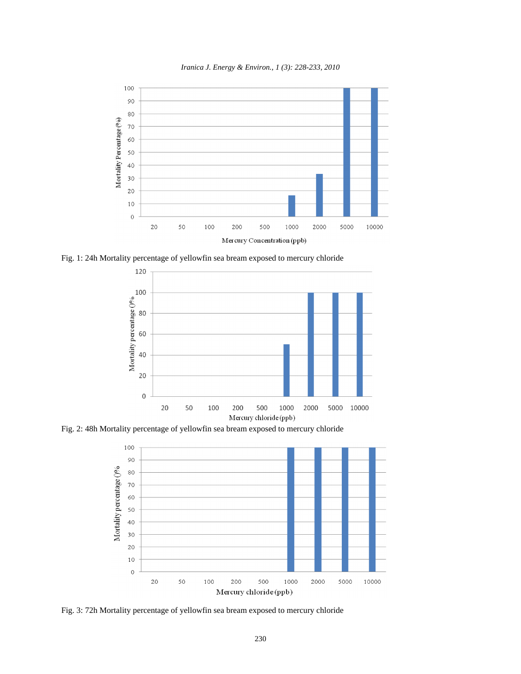

*Iranica J. Energy & Environ., 1 (3): 228-233, 2010*

Fig. 1: 24h Mortality percentage of yellowfin sea bream exposed to mercury chloride



Fig. 2: 48h Mortality percentage of yellowfin sea bream exposed to mercury chloride



Fig. 3: 72h Mortality percentage of yellowfin sea bream exposed to mercury chloride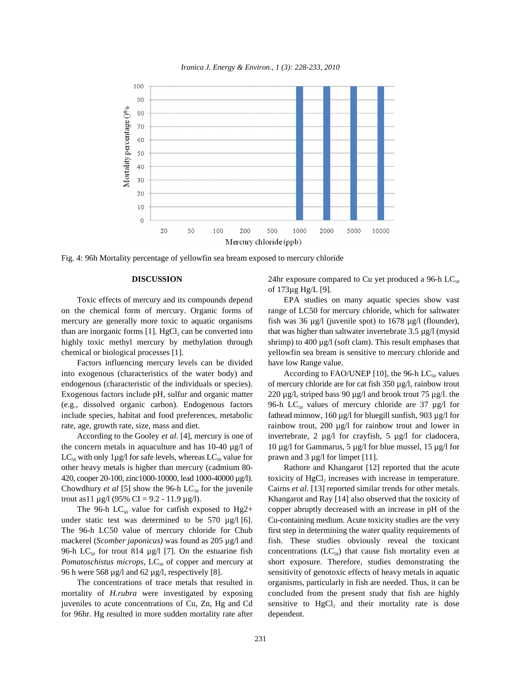

*Iranica J. Energy & Environ., 1 (3): 228-233, 2010*

Fig. 4: 96h Mortality percentage of yellowfin sea bream exposed to mercury chloride

on the chemical form of mercury. Organic forms of range of LC50 for mercury chloride, which for saltwater mercury are generally more toxic to aquatic organisms fish was  $36 \mu g/l$  (juvenile spot) to  $1678 \mu g/l$  (flounder), than are inorganic forms  $[1]$ . HgCl<sub>2</sub> can be converted into highly toxic methyl mercury by methylation through shrimp) to 400 µg/l (soft clam). This result emphases that chemical or biological processes [1]. yellowfin sea bream is sensitive to mercury chloride and

Factors influencing mercury levels can be divided have low Range value. into exogenous (characteristics of the water body) and

the concern metals in aquaculture and has 10-40  $\mu$ g/l of 10  $\mu$ g/l for Gammarus, 5  $\mu$ g/l for blue mussel, 15  $\mu$ g/l for  $LC_{50}$  with only 1µg/l for safe levels, whereas  $LC_{50}$  value for prawn and 3 µg/l for limpet [11]. other heavy metals is higher than mercury (cadmium 80- Rathore and Khangarot [12] reported that the acute

under static test was determined to be 570  $\mu$ g/l [6]. Cu-containing medium. Acute toxicity studies are the very mackerel (*Scomber japonicus*) was found as 205 µg/l and fish. These studies obviously reveal the toxicant 96-h LC<sub>50</sub> for trout 814  $\mu$ g/l [7]. On the estuarine fish *Pomatoschistus microps,* LC<sub>50</sub> of copper and mercury at short exposure. Therefore, studies demonstrating the 96 h were 568 µg/l and 62 µg/l, respectively [8]. sensitivity of genotoxic effects of heavy metals in aquatic

mortality of *H.rubra* were investigated by exposing concluded from the present study that fish are highly juveniles to acute concentrations of Cu, Zn, Hg and Cd sensitive to  $HgCl<sub>2</sub>$  and their mortality rate is dose for 96hr. Hg resulted in more sudden mortality rate after dependent.

**DISCUSSION** 24hr exposure compared to Cu yet produced a 96-h LC<sub>50</sub> of 173µg Hg/L [9].

Toxic effects of mercury and its compounds depend EPA studies on many aquatic species show vast that was higher than saltwater invertebrate  $3.5 \mu g/l$  (mysid

endogenous (characteristic of the individuals or species). of mercury chloride are for cat fish 350 µg/l, rainbow trout Exogenous factors include pH, sulfur and organic matter  $220 \mu g/l$ , striped bass 90  $\mu g/l$  and brook trout 75  $\mu g/l$ . the (e.g., dissolved organic carbon). Endogenous factors 96-h LC<sub>50</sub> values of mercury chloride are 37 µg/l for include species, habitat and food preferences, metabolic fathead minnow,  $160 \mu g/l$  for bluegill sunfish,  $903 \mu g/l$  for rate, age, growth rate, size, mass and diet. rainbow trout, 200 µg/l for rainbow trout and lower in According to the Gooley *et al.* [4], mercury is one of invertebrate, 2 µg/l for crayfish, 5 µg/l for cladocera, According to FAO/UNEP [10], the 96-h  $LC_{50}$  values

420, cooper 20-100, zinc1000-10000, lead 1000-40000  $\mu$ g/l). toxicity of HgCl<sub>2</sub> increases with increase in temperature. Chowdhury *et al* [5] show the 96-h LC<sub>50</sub> for the juvenile Cairns *et al.* [13] reported similar trends for other metals. trout as  $11 \mu g/1$  (95% CI = 9.2 - 11.9  $\mu g/1$ ). Khangarot and Ray [14] also observed that the toxicity of The 96-h LC<sub>50</sub> value for catfish exposed to Hg2+ copper abruptly decreased with an increase in pH of the The 96-h LC50 value of mercury chloride for Chub first step in determining the water quality requirements of The concentrations of trace metals that resulted in organisms, particularly in fish are needed. Thus, it can be concentrations  $(LC_{50})$  that cause fish mortality even at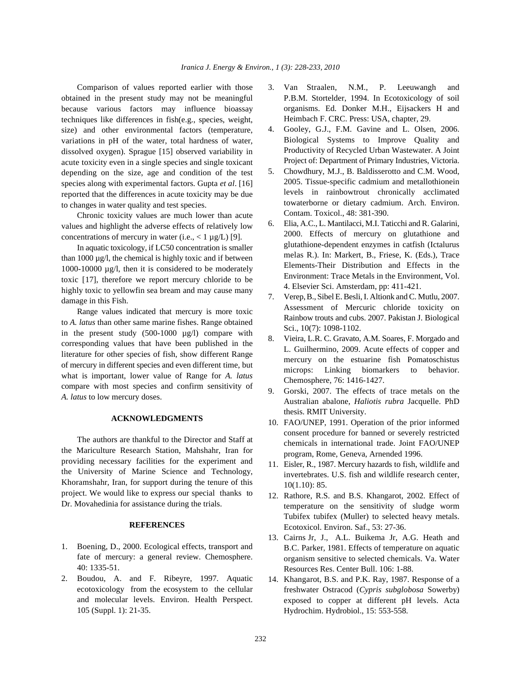obtained in the present study may not be meaningful because various factors may influence bioassay techniques like differences in fish(e.g., species, weight, size) and other environmental factors (temperature, variations in pH of the water, total hardness of water, dissolved oxygen). Sprague [15] observed variability in acute toxicity even in a single species and single toxicant depending on the size, age and condition of the test species along with experimental factors. Gupta *et al*. [16] reported that the differences in acute toxicity may be due to changes in water quality and test species.

Chronic toxicity values are much lower than acute values and highlight the adverse effects of relatively low concentrations of mercury in water (i.e.,  $\langle 1 \mu g/L \rangle$  [9].

In aquatic toxicology, if LC50 concentration is smaller than  $1000 \mu g/l$ , the chemical is highly toxic and if between 1000-10000 µg/l, then it is considered to be moderately toxic [17], therefore we report mercury chloride to be highly toxic to yellowfin sea bream and may cause many damage in this Fish.

Range values indicated that mercury is more toxic to *A. latus* than other same marine fishes. Range obtained in the present study (500-1000 µg/l) compare with corresponding values that have been published in the literature for other species of fish, show different Range of mercury in different species and even different time, but what is important, lower value of Range for *A. latus* compare with most species and confirm sensitivity of *A. latus* to low mercury doses.

## **ACKNOWLEDGMENTS**

The authors are thankful to the Director and Staff at the Mariculture Research Station, Mahshahr, Iran for providing necessary facilities for the experiment and the University of Marine Science and Technology, Khoramshahr, Iran, for support during the tenure of this project. We would like to express our special thanks to Dr. Movahedinia for assistance during the trials.

### **REFERENCES**

- 1. Boening, D., 2000. Ecological effects, transport and fate of mercury: a general review. Chemosphere. 40: 1335-51.
- 2. Boudou, A. and F. Ribeyre, 1997. Aquatic ecotoxicology from the ecosystem to the cellular and molecular levels. Environ. Health Perspect. 105 (Suppl. 1): 21-35.
- Comparison of values reported earlier with those 3. Van Straalen, N.M., P. Leeuwangh and P.B.M. Stortelder, 1994. In Ecotoxicology of soil organisms. Ed. Donker M.H., Eijsackers H and Heimbach F. CRC. Press: USA, chapter, 29.
	- 4. Gooley, G.J., F.M. Gavine and L. Olsen, 2006. Biological Systems to Improve Quality and Productivity of Recycled Urban Wastewater. A Joint Project of: Department of Primary Industries, Victoria.
	- 5. Chowdhury, M.J., B. Baldisserotto and C.M. Wood, 2005. Tissue-specific cadmium and metallothionein levels in rainbowtrout chronically acclimated towaterborne or dietary cadmium. Arch. Environ. Contam. Toxicol., 48: 381-390.
	- 6. Elia, A.C., L. Mantilacci, M.I. Taticchi and R. Galarini, 2000. Effects of mercury on glutathione and glutathione-dependent enzymes in catfish (Ictalurus melas R.). In: Markert, B., Friese, K. (Eds.), Trace Elements-Their Distribution and Effects in the Environment: Trace Metals in the Environment, Vol. 4. Elsevier Sci. Amsterdam, pp: 411-421.
	- 7. Verep, B., Sibel E. Besli, I. Altionk and C. Mutlu, 2007. Assessment of Mercuric chloride toxicity on Rainbow trouts and cubs. 2007. Pakistan J. Biological Sci., 10(7): 1098-1102.
	- 8. Vieira, L.R. C. Gravato, A.M. Soares, F. Morgado and L. Guilhermino, 2009. Acute effects of copper and mercury on the estuarine fish Pomatoschistus microps: Linking biomarkers to behavior. Chemosphere, 76: 1416-1427.
	- 9. Gorski, 2007. The effects of trace metals on the Australian abalone, *Haliotis rubra* Jacquelle. PhD thesis. RMIT University.
	- 10. FAO/UNEP, 1991. Operation of the prior informed consent procedure for banned or severely restricted chemicals in international trade. Joint FAO/UNEP program, Rome, Geneva, Arnended 1996.
	- 11. Eisler, R., 1987. Mercury hazards to fish, wildlife and invertebrates. U.S. fish and wildlife research center, 10(1.10): 85.
	- 12. Rathore, R.S. and B.S. Khangarot, 2002. Effect of temperature on the sensitivity of sludge worm Tubifex tubifex (Muller) to selected heavy metals. Ecotoxicol. Environ. Saf., 53: 27-36.
	- 13. Cairns Jr, J., A.L. Buikema Jr, A.G. Heath and B.C. Parker, 1981. Effects of temperature on aquatic organism sensitive to selected chemicals. Va. Water Resources Res. Center Bull. 106: 1-88.
	- 14. Khangarot, B.S. and P.K. Ray, 1987. Response of a freshwater Ostracod (*Cypris subglobosa* Sowerby) exposed to copper at different pH levels. Acta Hydrochim. Hydrobiol., 15: 553-558.